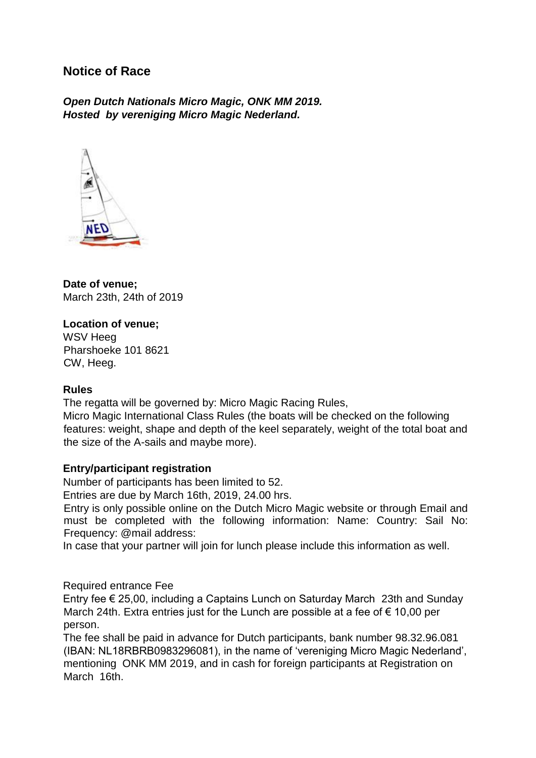# **Notice of Race**

*Open Dutch Nationals Micro Magic, ONK MM 2019. Hosted by vereniging Micro Magic Nederland.* 



**Date of venue;** March 23th, 24th of 2019

## **Location of venue;**

WSV Heeg Pharshoeke 101 8621 CW, Heeg.

## **Rules**

The regatta will be governed by: Micro Magic Racing Rules,

Micro Magic International Class Rules (the boats will be checked on the following features: weight, shape and depth of the keel separately, weight of the total boat and the size of the A-sails and maybe more).

## **Entry/participant registration**

Number of participants has been limited to 52.

Entries are due by March 16th, 2019, 24.00 hrs.

Entry is only possible online on the Dutch Micro Magic website or through Email and must be completed with the following information: Name: Country: Sail No: Frequency: @mail address:

In case that your partner will join for lunch please include this information as well.

Required entrance Fee

Entry fee € 25,00, including a Captains Lunch on Saturday March 23th and Sunday March 24th. Extra entries just for the Lunch are possible at a fee of  $\epsilon$  10,00 per person.

The fee shall be paid in advance for Dutch participants, bank number 98.32.96.081 (IBAN: NL18RBRB0983296081), in the name of 'vereniging Micro Magic Nederland', mentioning ONK MM 2019, and in cash for foreign participants at Registration on March 16th.